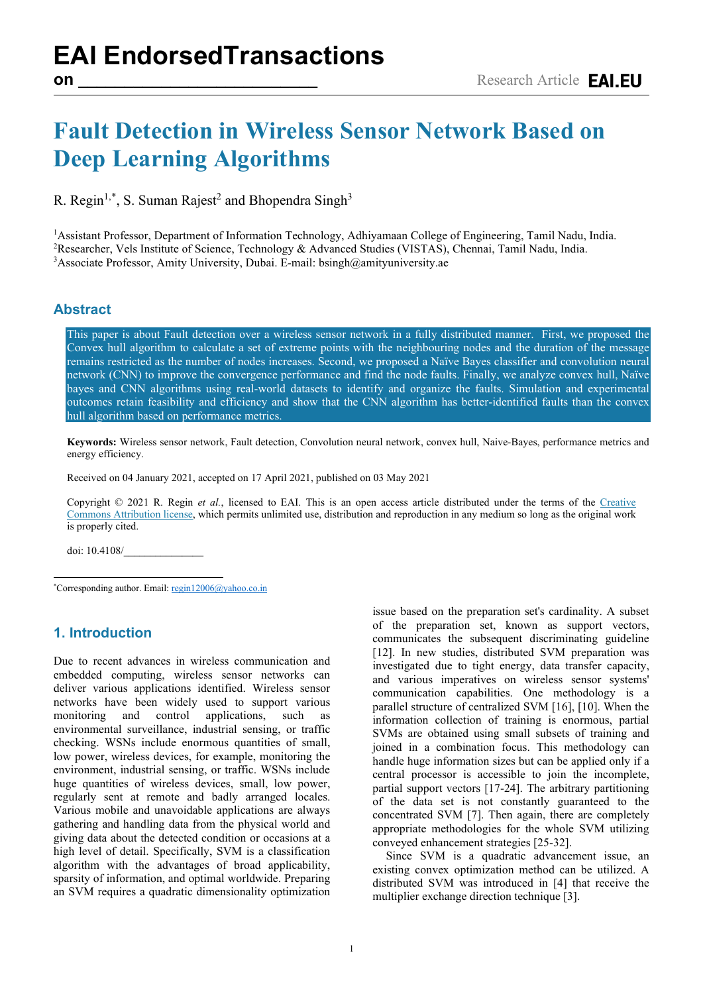## **Fault Detection in Wireless Sensor Network Based on Deep Learning Algorithms**

R. Regin<sup>1,[\\*](#page-0-0)</sup>, S. Suman Rajest<sup>2</sup> and Bhopendra Singh<sup>3</sup>

<sup>1</sup>Assistant Professor, Department of Information Technology, Adhiyamaan College of Engineering, Tamil Nadu, India.<br><sup>2</sup>Researcher, Vels Institute of Science, Technology & Advanced Studies (VISTAS), Chennai, Tamil Nadu, Ind <sup>2</sup>Researcher, Vels Institute of Science, Technology & Advanced Studies (VISTAS), Chennai, Tamil Nadu, India. <sup>3</sup> Associate Professor, Amity University, Dubai. E-mail: bsingh@amityuniversity.ae

## **Abstract**

This paper is about Fault detection over a wireless sensor network in a fully distributed manner. First, we proposed the Convex hull algorithm to calculate a set of extreme points with the neighbouring nodes and the duration of the message remains restricted as the number of nodes increases. Second, we proposed a Naïve Bayes classifier and convolution neural network (CNN) to improve the convergence performance and find the node faults. Finally, we analyze convex hull, Naïve bayes and CNN algorithms using real-world datasets to identify and organize the faults. Simulation and experimental outcomes retain feasibility and efficiency and show that the CNN algorithm has better-identified faults than the convex hull algorithm based on performance metrics.

**Keywords:** Wireless sensor network, Fault detection, Convolution neural network, convex hull, Naive-Bayes, performance metrics and energy efficiency.

Received on 04 January 2021, accepted on 17 April 2021, published on 03 May 2021

Copyright © 2021 R. Regin *et al.*, licensed to EAI. This is an open access article distributed under the terms of the [Creative](mailto:https://creativecommons.org/licenses/by/4.0/)  [Commons Attribution license,](mailto:https://creativecommons.org/licenses/by/4.0/) which permits unlimited use, distribution and reproduction in any medium so long as the original work is properly cited.

doi: 10.4108/\_\_\_\_\_\_\_\_\_\_\_\_\_\_\_

<span id="page-0-0"></span>\*Corresponding author. Email: [regin12006@yahoo.co.in](mailto:regin12006@yahoo.co.in)

## **1. Introduction**

Due to recent advances in wireless communication and embedded computing, wireless sensor networks can deliver various applications identified. Wireless sensor networks have been widely used to support various monitoring and control applications, such as environmental surveillance, industrial sensing, or traffic checking. WSNs include enormous quantities of small, low power, wireless devices, for example, monitoring the environment, industrial sensing, or traffic. WSNs include huge quantities of wireless devices, small, low power, regularly sent at remote and badly arranged locales. Various mobile and unavoidable applications are always gathering and handling data from the physical world and giving data about the detected condition or occasions at a high level of detail. Specifically, SVM is a classification algorithm with the advantages of broad applicability, sparsity of information, and optimal worldwide. Preparing an SVM requires a quadratic dimensionality optimization

issue based on the preparation set's cardinality. A subset of the preparation set, known as support vectors, communicates the subsequent discriminating guideline [12]. In new studies, distributed SVM preparation was investigated due to tight energy, data transfer capacity, and various imperatives on wireless sensor systems' communication capabilities. One methodology is a parallel structure of centralized SVM [16], [10]. When the information collection of training is enormous, partial SVMs are obtained using small subsets of training and joined in a combination focus. This methodology can handle huge information sizes but can be applied only if a central processor is accessible to join the incomplete, partial support vectors [17-24]. The arbitrary partitioning of the data set is not constantly guaranteed to the concentrated SVM [7]. Then again, there are completely appropriate methodologies for the whole SVM utilizing conveyed enhancement strategies [25-32].

Since SVM is a quadratic advancement issue, an existing convex optimization method can be utilized. A distributed SVM was introduced in [4] that receive the multiplier exchange direction technique [3].